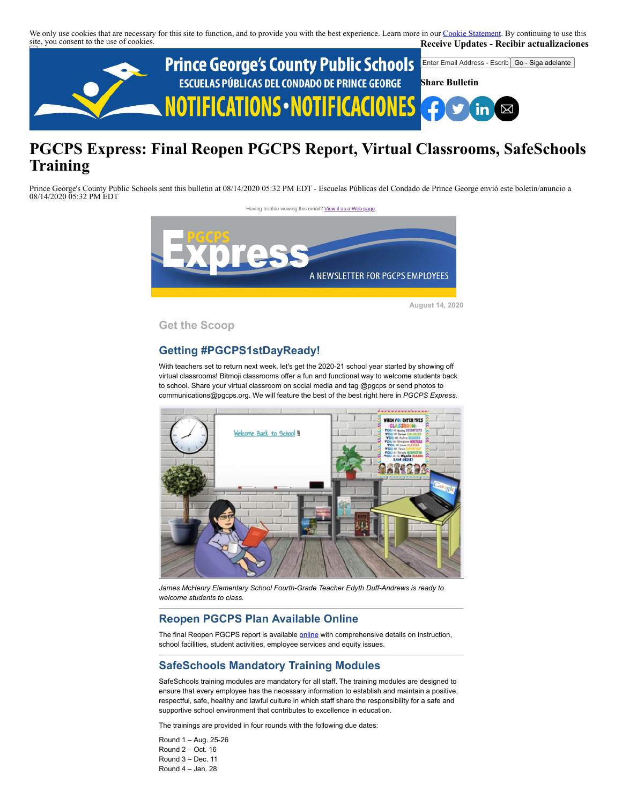We only use cookies that are necessary for this site to function, and to provide you with the best experience. Learn more in our [Cookie Statement.](https://subscriberhelp.granicus.com/s/article/Cookies) By continuing to use this site, you consent to the use of cookies. **Receive Updates - Recibir actualizaciones**



# **PGCPS Express: Final Reopen PGCPS Report, Virtual Classrooms, SafeSchools Training**

Prince George's County Public Schools sent this bulletin at 08/14/2020 05:32 PM EDT - Escuelas Públicas del Condado de Prince George envió este boletín/anuncio a 08/14/2020 05:32 PM EDT

Having trouble viewing this email? [View it as a Web page](https://content.govdelivery.com/accounts/PGCPS/bulletins/2998d1c)



**August 14, 2020**

**Get the Scoop**

# **Getting #PGCPS1stDayReady!**

With teachers set to return next week, let's get the 2020-21 school year started by showing off virtual classrooms! Bitmoji classrooms offer a fun and functional way to welcome students back to school. Share your virtual classroom on social media and tag @pgcps or send photos to communications@pgcps.org. We will feature the best of the best right here in *PGCPS Express.*



*James McHenry Elementary School Fourth-Grade Teacher Edyth Duff-Andrews is ready to welcome students to class.*

### **Reopen PGCPS Plan Available Online**

The final Reopen PGCPS report is available **online** with comprehensive details on instruction, school facilities, student activities, employee services and equity issues.

# **SafeSchools Mandatory Training Modules**

SafeSchools training modules are mandatory for all staff. The training modules are designed to ensure that every employee has the necessary information to establish and maintain a positive, respectful, safe, healthy and lawful culture in which staff share the responsibility for a safe and supportive school environment that contributes to excellence in education.

The trainings are provided in four rounds with the following due dates:

Round 1 – Aug. 25-26 Round 2 – Oct. 16 Round 3 – Dec. 11 Round 4 – Jan. 28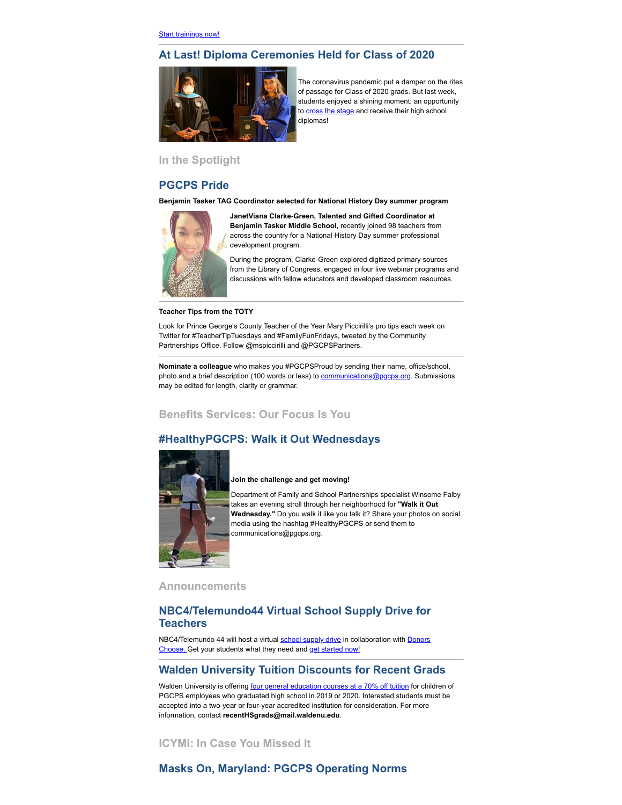# **At Last! Diploma Ceremonies Held for Class of 2020**



The coronavirus pandemic put a damper on the rites of passage for Class of 2020 grads. But last week, students enjoyed a shining moment: an opportunity to [cross the stage](https://www.washingtoninformer.com/prince-georges-hold-mini-celebrations-for-class-of-2020/) and receive their high school diplomas!

# **In the Spotlight**

#### **PGCPS Pride**

**Benjamin Tasker TAG Coordinator selected for National History Day summer program**



**JanetViana Clarke-Green, Talented and Gifted Coordinator at Benjamin Tasker Middle School,** recently joined 98 teachers from across the country for a National History Day summer professional development program.

During the program, Clarke-Green explored digitized primary sources from the Library of Congress, engaged in four live webinar programs and discussions with fellow educators and developed classroom resources.

#### **Teacher Tips from the TOTY**

Look for Prince George's County Teacher of the Year Mary Piccirilli's pro tips each week on Twitter for #TeacherTipTuesdays and #FamilyFunFridays, tweeted by the Community Partnerships Office. Follow @mspiccirilli and @PGCPSPartners.

**Nominate a colleague** who makes you #PGCPSProud by sending their name, office/school, photo and a brief description (100 words or less) to **[communications@pgcps.org](mailto:communications@pgcps.org)**. Submissions may be edited for length, clarity or grammar.

## **Benefits Services: Our Focus Is You**

## **#HealthyPGCPS: Walk it Out Wednesdays**



#### **Join the challenge and get moving!**

Department of Family and School Partnerships specialist Winsome Falby takes an evening stroll through her neighborhood for **"Walk it Out Wednesday."** Do you walk it like you talk it? Share your photos on social media using the hashtag #HealthyPGCPS or send them to communications@pgcps.org.

**Announcements** 

#### **NBC4/Telemundo44 Virtual School Supply Drive for Teachers**

[NBC4/Telemundo 44 will host a virtual](https://secure.donorschoose.org/) [school supply drive](https://www.nbcwashington.com/community/supporting-our-schools-virtual-school-supply-drive/2353513/) [in collaboration with Donors](https://secure.donorschoose.org/) Choose. Get your students what they need and [get started now!](https://secure.donorschoose.org/teacher/teacher_registration.html)

#### **Walden University Tuition Discounts for Recent Grads**

Walden University is offering [four general education courses at a 70% off tuition](https://www.waldenu.edu/learn/recent-hs-grads?utm_source=bd&utm_medium=email&utm_campaign=WAL-1020087&utm_term=learn/recent-hs-grads&utm_content=education&comm_code=WAL-1020087) for children of PGCPS employees who graduated high school in 2019 or 2020. Interested students must be accepted into a two-year or four-year accredited institution for consideration. For more information, contact **recentHSgrads@mail.waldenu.edu**.

**ICYMI: In Case You Missed It**

# **Masks On, Maryland: PGCPS Operating Norms**